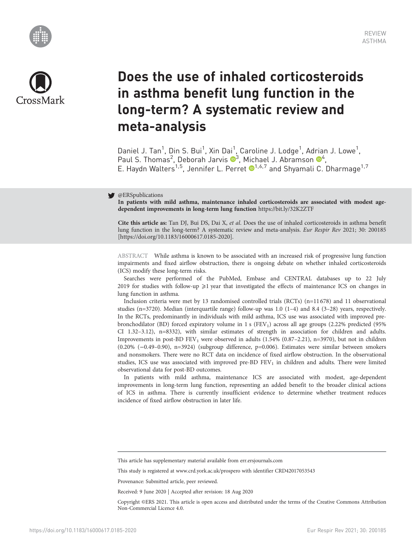



# Does the use of inhaled corticosteroids in asthma benefit lung function in the long-term? A systematic review and meta-analysis

Daniel J. Tan<sup>1</sup>, Din S. Bui<sup>1</sup>, Xin Dai<sup>1</sup>, Caroline J. Lodge<sup>1</sup>, Adrian J. Lowe<sup>1</sup>, Paul S. Thomas<sup>2</sup>, Deborah Jarvis <sup>®</sup><sup>3</sup>, Michael J. Abramson <sup>®4</sup>, E. Haydn Walters<sup>1,5</sup>, Jennifer L. Perret <sup>1,6,7</sup> and Shyamali C. Dharmage<sup>1,7</sup>

## @ERSpublications

In patients with mild asthma, maintenance inhaled corticosteroids are associated with modest agedependent improvements in long-term lung function <https://bit.ly/32K2ZTF>

Cite this article as: Tan DJ, Bui DS, Dai X, et al. Does the use of inhaled corticosteroids in asthma benefit lung function in the long-term? A systematic review and meta-analysis. Eur Respir Rev 2021; 30: 200185 [\[https://doi.org/10.1183/16000617.0185-2020\].](https://doi.org/10.1183/16000617.0185-2020)

ABSTRACT While asthma is known to be associated with an increased risk of progressive lung function impairments and fixed airflow obstruction, there is ongoing debate on whether inhaled corticosteroids (ICS) modify these long-term risks.

Searches were performed of the PubMed, Embase and CENTRAL databases up to 22 July 2019 for studies with follow-up  $\geq 1$  year that investigated the effects of maintenance ICS on changes in lung function in asthma.

Inclusion criteria were met by 13 randomised controlled trials (RCTs) (n=11 678) and 11 observational studies (n=3720). Median (interquartile range) follow-up was 1.0  $(1-4)$  and 8.4  $(3-28)$  years, respectively. In the RCTs, predominantly in individuals with mild asthma, ICS use was associated with improved prebronchodilator (BD) forced expiratory volume in 1 s (FEV<sub>1</sub>) across all age groups (2.22% predicted (95%) CI 1.32–3.12), n=8332), with similar estimates of strength in association for children and adults. Improvements in post-BD FEV<sub>1</sub> were observed in adults  $(1.54\% (0.87–2.21), n=3970)$ , but not in children (0.20% (−0.49–0.90), n=3924) (subgroup difference, p=0.006). Estimates were similar between smokers and nonsmokers. There were no RCT data on incidence of fixed airflow obstruction. In the observational studies, ICS use was associated with improved pre-BD FEV<sub>1</sub> in children and adults. There were limited observational data for post-BD outcomes.

In patients with mild asthma, maintenance ICS are associated with modest, age-dependent improvements in long-term lung function, representing an added benefit to the broader clinical actions of ICS in asthma. There is currently insufficient evidence to determine whether treatment reduces incidence of fixed airflow obstruction in later life.

This study is registered at [www.crd.york.ac.uk/prospero](http://www.crd.york.ac.uk/prospero) with identifier CRD42017053543

Provenance: Submitted article, peer reviewed.

Received: 9 June 2020 | Accepted after revision: 18 Aug 2020

Copyright ©ERS 2021. This article is open access and distributed under the terms of the Creative Commons Attribution Non-Commercial Licence 4.0.

This article has supplementary material available from<err.ersjournals.com>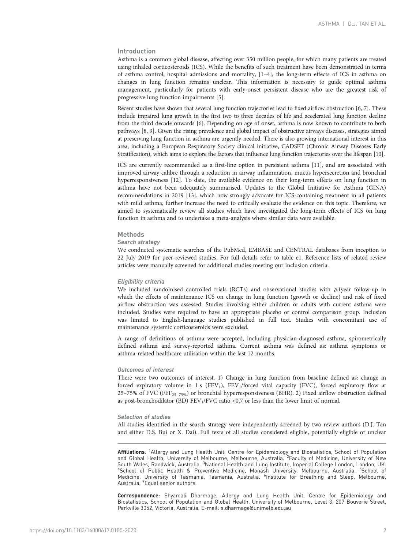## Introduction

Asthma is a common global disease, affecting over 350 million people, for which many patients are treated using inhaled corticosteroids (ICS). While the benefits of such treatment have been demonstrated in terms of asthma control, hospital admissions and mortality, [\[1](#page-12-0)–[4](#page-12-0)], the long-term effects of ICS in asthma on changes in lung function remains unclear. This information is necessary to guide optimal asthma management, particularly for patients with early-onset persistent disease who are the greatest risk of progressive lung function impairments [[5](#page-12-0)].

Recent studies have shown that several lung function trajectories lead to fixed airflow obstruction [\[6, 7](#page-12-0)]. These include impaired lung growth in the first two to three decades of life and accelerated lung function decline from the third decade onwards [\[6](#page-12-0)]. Depending on age of onset, asthma is now known to contribute to both pathways [[8, 9](#page-12-0)]. Given the rising prevalence and global impact of obstructive airways diseases, strategies aimed at preserving lung function in asthma are urgently needed. There is also growing international interest in this area, including a European Respiratory Society clinical initiative, CADSET (Chronic Airway Diseases Early Stratification), which aims to explore the factors that influence lung function trajectories over the lifespan [\[10\]](#page-12-0).

ICS are currently recommended as a first-line option in persistent asthma [[11\]](#page-12-0), and are associated with improved airway calibre through a reduction in airway inflammation, mucus hypersecretion and bronchial hyperresponsiveness [\[12\]](#page-12-0). To date, the available evidence on their long-term effects on lung function in asthma have not been adequately summarised. Updates to the Global Initiative for Asthma (GINA) recommendations in 2019 [[13\]](#page-12-0), which now strongly advocate for ICS-containing treatment in all patients with mild asthma, further increase the need to critically evaluate the evidence on this topic. Therefore, we aimed to systematically review all studies which have investigated the long-term effects of ICS on lung function in asthma and to undertake a meta-analysis where similar data were available.

#### Methods

## Search strategy

We conducted systematic searches of the PubMed, EMBASE and CENTRAL databases from inception to 22 July 2019 for peer-reviewed studies. For full details refer to [table e1.](http://err.ersjournals.com/lookup/doi/10.1183/16000617.0185-2020.figures-only#fig-data-supplementary-materials) Reference lists of related review articles were manually screened for additional studies meeting our inclusion criteria.

#### Eligibility criteria

We included randomised controlled trials (RCTs) and observational studies with ≥1year follow-up in which the effects of maintenance ICS on change in lung function (growth or decline) and risk of fixed airflow obstruction was assessed. Studies involving either children or adults with current asthma were included. Studies were required to have an appropriate placebo or control comparison group. Inclusion was limited to English-language studies published in full text. Studies with concomitant use of maintenance systemic corticosteroids were excluded.

A range of definitions of asthma were accepted, including physician-diagnosed asthma, spirometrically defined asthma and survey-reported asthma. Current asthma was defined as: asthma symptoms or asthma-related healthcare utilisation within the last 12 months.

## Outcomes of interest

There were two outcomes of interest. 1) Change in lung function from baseline defined as: change in forced expiratory volume in 1 s (FEV<sub>1</sub>), FEV<sub>1</sub>/forced vital capacity (FVC), forced expiratory flow at 25–75% of FVC (FEF<sub>25–75%</sub>) or bronchial hyperresponsiveness (BHR). 2) Fixed airflow obstruction defined as post-bronchodilator (BD)  $FEV_1/FVC$  ratio <0.7 or less than the lower limit of normal.

#### Selection of studies

All studies identified in the search strategy were independently screened by two review authors (D.J. Tan and either D.S. Bui or X. Dai). Full texts of all studies considered eligible, potentially eligible or unclear

Affiliations: <sup>1</sup>Allergy and Lung Health Unit, Centre for Epidemiology and Biostatistics, School of Population and Global Health, University of Melbourne, Melbourne, Australia. <sup>2</sup> Faculty of Medicine, University of New South Wales, Randwick, Australia. <sup>3</sup>National Health and Lung Institute, Imperial College London, London, UK. South Wales, Randwick, Australia. <sup>3</sup>National Health and Lung Institute, Imperial College London, London, UK.<br><sup>4</sup>School of Public Health & Preventive Medicine, Monash University, Melbourne, Australia. <sup>5</sup>School Medicine, University of Tasmania, Tasmania, Australia. <sup>6</sup>Institute for Breathing and Sleep, Melbourne, Australia. <sup>7</sup> Equal senior authors.

Correspondence: Shyamali Dharmage, Allergy and Lung Health Unit, Centre for Epidemiology and Biostatistics, School of Population and Global Health, University of Melbourne, Level 3, 207 Bouverie Street, Parkville 3052, Victoria, Australia. E-mail: [s.dharmage@unimelb.edu.au](mailto:s.dharmage@unimelb.edu.au)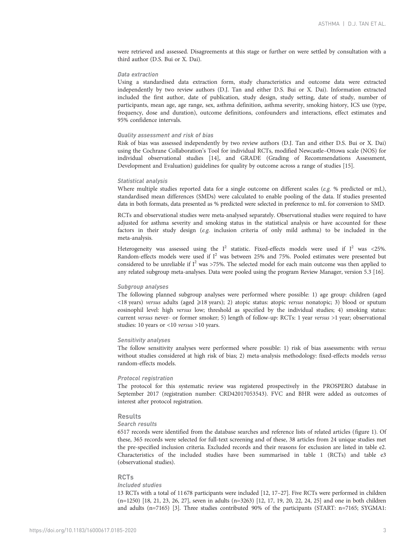were retrieved and assessed. Disagreements at this stage or further on were settled by consultation with a third author (D.S. Bui or X. Dai).

#### Data extraction

Using a standardised data extraction form, study characteristics and outcome data were extracted independently by two review authors (D.J. Tan and either D.S. Bui or X. Dai). Information extracted included the first author, date of publication, study design, study setting, date of study, number of participants, mean age, age range, sex, asthma definition, asthma severity, smoking history, ICS use (type, frequency, dose and duration), outcome definitions, confounders and interactions, effect estimates and 95% confidence intervals.

## Quality assessment and risk of bias

Risk of bias was assessed independently by two review authors (D.J. Tan and either D.S. Bui or X. Dai) using the Cochrane Collaboration's Tool for individual RCTs, modified Newcastle–Ottowa scale (NOS) for individual observational studies [\[14\]](#page-12-0), and GRADE (Grading of Recommendations Assessment, Development and Evaluation) guidelines for quality by outcome across a range of studies [[15](#page-12-0)].

#### Statistical analysis

Where multiple studies reported data for a single outcome on different scales (e.g. % predicted or mL), standardised mean differences (SMDs) were calculated to enable pooling of the data. If studies presented data in both formats, data presented as % predicted were selected in preference to mL for conversion to SMD.

RCTs and observational studies were meta-analysed separately. Observational studies were required to have adjusted for asthma severity and smoking status in the statistical analysis or have accounted for these factors in their study design (e.g. inclusion criteria of only mild asthma) to be included in the meta-analysis.

Heterogeneity was assessed using the  $I^2$  statistic. Fixed-effects models were used if  $I^2$  was <25%. Random-effects models were used if I<sup>2</sup> was between 25% and 75%. Pooled estimates were presented but considered to be unreliable if  $I^2$  was >75%. The selected model for each main outcome was then applied to any related subgroup meta-analyses. Data were pooled using the program Review Manager, version 5.3 [\[16](#page-12-0)].

## Subgroup analyses

The following planned subgroup analyses were performed where possible: 1) age group: children (aged <18 years) versus adults (aged ⩾18 years); 2) atopic status: atopic versus nonatopic; 3) blood or sputum eosinophil level: high versus low; threshold as specified by the individual studies; 4) smoking status: current versus never- or former smoker; 5) length of follow-up: RCTs: 1 year versus >1 year; observational studies: 10 years or <10 *versus* >10 years.

## Sensitivity analyses

The follow sensitivity analyses were performed where possible: 1) risk of bias assessments: with versus without studies considered at high risk of bias; 2) meta-analysis methodology: fixed-effects models versus random-effects models.

#### Protocol registration

The protocol for this systematic review was registered prospectively in the PROSPERO database in September 2017 (registration number: CRD42017053543). FVC and BHR were added as outcomes of interest after protocol registration.

## Results

#### Search results

6517 records were identified from the database searches and reference lists of related articles ([figure 1](#page-3-0)). Of these, 365 records were selected for full-text screening and of these, 38 articles from 24 unique studies met the pre-specified inclusion criteria. Excluded records and their reasons for exclusion are listed in [table e2](http://err.ersjournals.com/lookup/doi/10.1183/16000617.0185-2020.figures-only#fig-data-supplementary-materials). Characteristics of the included studies have been summarised in [table 1](#page-4-0) (RCTs) and [table e3](http://err.ersjournals.com/lookup/doi/10.1183/16000617.0185-2020.figures-only#fig-data-supplementary-materials) (observational studies).

#### RCTs

#### Included studies

13 RCTs with a total of 11678 participants were included [\[12](#page-12-0), [17](#page-12-0)–[27](#page-13-0)]. Five RCTs were performed in children (n=1250) [[18](#page-12-0), [21,](#page-12-0) [23, 26](#page-13-0), [27\]](#page-13-0), seven in adults (n=3263) [\[12, 17](#page-12-0), [19, 20,](#page-12-0) [22](#page-13-0), [24, 25](#page-13-0)] and one in both children and adults (n=7165) [\[3\]](#page-12-0). Three studies contributed 90% of the participants (START: n=7165; SYGMA1: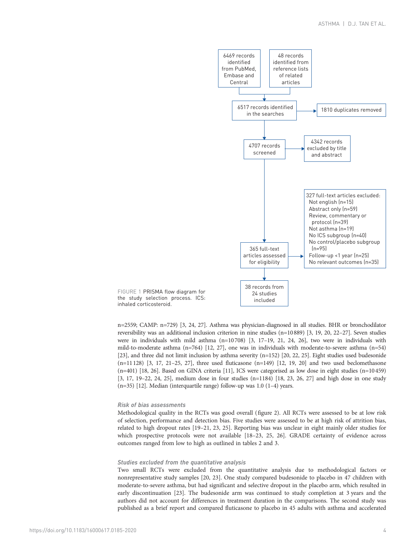<span id="page-3-0"></span>

n=2559; CAMP: n=729) [\[3,](#page-12-0) [24](#page-13-0), [27\]](#page-13-0). Asthma was physician-diagnosed in all studies. BHR or bronchodilator reversibility was an additional inclusion criterion in nine studies (n=10889) [\[3, 19, 20](#page-12-0), [22](#page-13-0)–[27\]](#page-13-0). Seven studies were in individuals with mild asthma  $(n=10708)$  [[3, 17](#page-12-0)-[19, 21,](#page-12-0) [24, 26\]](#page-13-0), two were in individuals with mild-to-moderate asthma (n=764) [[12,](#page-12-0) [27\]](#page-13-0), one was in individuals with moderate-to-severe asthma (n=54) [\[23](#page-13-0)], and three did not limit inclusion by asthma severity (n=152) [[20](#page-12-0), [22](#page-13-0), [25](#page-13-0)]. Eight studies used budesonide  $(n=11128)$  [\[3](#page-12-0), [17, 21](#page-12-0)–[25, 27](#page-13-0)], three used fluticasone  $(n=149)$  [\[12, 19](#page-12-0), [20\]](#page-12-0) and two used beclomethasone (n=401) [[18,](#page-12-0) [26](#page-13-0)]. Based on GINA criteria [\[11\]](#page-12-0), ICS were categorised as low dose in eight studies (n=10459) [\[3](#page-12-0), [17](#page-12-0), [19](#page-12-0)–[22, 24, 25](#page-13-0)], medium dose in four studies (n=1184) [\[18,](#page-12-0) [23](#page-13-0), [26](#page-13-0), [27\]](#page-13-0) and high dose in one study

#### Risk of bias assessments

inhaled corticosteroid.

Methodological quality in the RCTs was good overall ([figure 2\)](#page-6-0). All RCTs were assessed to be at low risk of selection, performance and detection bias. Five studies were assessed to be at high risk of attrition bias, related to high dropout rates [\[19](#page-12-0)–[21](#page-12-0), [23, 25](#page-13-0)]. Reporting bias was unclear in eight mainly older studies for which prospective protocols were not available [\[18](#page-12-0)–[23](#page-13-0), [25, 26\]](#page-13-0). GRADE certainty of evidence across outcomes ranged from low to high as outlined in [tables 2](#page-7-0) and [3](#page-8-0).

## Studies excluded from the quantitative analysis

(n=35) [\[12](#page-12-0)]. Median (interquartile range) follow-up was 1.0 (1–4) years.

Two small RCTs were excluded from the quantitative analysis due to methodological factors or nonrepresentative study samples [[20](#page-12-0), [23\]](#page-13-0). One study compared budesonide to placebo in 47 children with moderate-to-severe asthma, but had significant and selective dropout in the placebo arm, which resulted in early discontinuation [[23](#page-13-0)]. The budesonide arm was continued to study completion at 3 years and the authors did not account for differences in treatment duration in the comparisons. The second study was published as a brief report and compared fluticasone to placebo in 45 adults with asthma and accelerated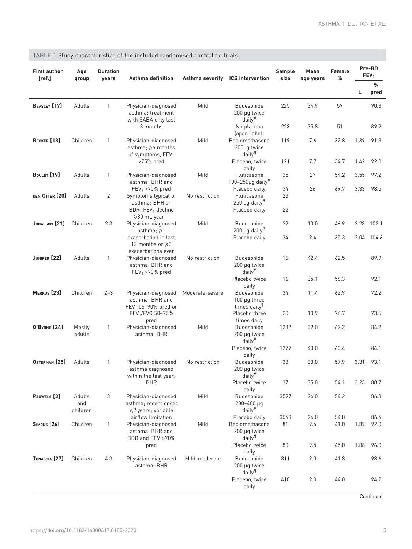| <b>First author</b><br>[ref.] | Age<br>group              | <b>Duration</b><br>years | Asthma definition                                                                             |                 | Asthma severity ICS intervention                                                | Sample<br>size | Mean<br>age years | Female<br>%  |      | Pre-BD<br>FEV <sub>1</sub> |
|-------------------------------|---------------------------|--------------------------|-----------------------------------------------------------------------------------------------|-----------------|---------------------------------------------------------------------------------|----------------|-------------------|--------------|------|----------------------------|
|                               |                           |                          |                                                                                               |                 |                                                                                 |                |                   |              | г    | %<br>pred                  |
| BEASLEY [17]                  | Adults                    | 1                        | Physician-diagnosed<br>asthma: treatment<br>with SABA only last                               | Mild            | <b>Budesonide</b><br>200 µg twice<br>daily <sup>#</sup>                         | 225            | 34.9              | 57           |      | 90.3                       |
|                               |                           |                          | 3 months                                                                                      |                 | No placebo<br>(open-label)                                                      | 223            | 35.8              | 51           |      | 89.2                       |
| <b>BECKER</b> [18]            | Children                  | 1                        | Physician-diagnosed<br>asthma; $\geq 6$ months<br>of symptoms, FEV <sub>1</sub>               | Mild            | Beclomethasone<br>200µg twice<br>daily <sup>11</sup>                            | 119            | 7.6               | 32.8         | 1.39 | 91.3                       |
|                               |                           |                          | >75% pred                                                                                     |                 | Placebo, twice<br>daily                                                         | 121            | 7.7               | 34.7         | 1.42 | 92.0                       |
| BOULET [19]                   | Adults                    | 1                        | Physician-diagnosed<br>asthma; BHR and                                                        | Mild            | Fluticasone<br>$100 - 250\mu$ g daily <sup>#</sup>                              | 35             | 27                | 54.2         | 3.55 | 97.2                       |
| DEN OTTER [20]                | Adults                    | 2                        | $FEV_1 > 70\%$ pred<br>Symptoms typical of<br>asthma; BHR or<br>BDR; FEV <sub>1</sub> decline | No restriction  | Placebo daily<br>Fluticasone<br>$250 \mu g$ daily <sup>#</sup><br>Placebo daily | 34<br>23<br>22 | 26                | 69.7         | 3.33 | 98.5                       |
| JONASSON <sup>[21]</sup>      | Children                  | 2.3                      | $\geqslant$ 80 mL·year <sup>-1</sup><br>Physician-diagnosed<br>asthma; $\geq 1$               | Mild            | <b>Budesonide</b><br>$200 \mu g$ daily <sup>#</sup>                             | 32             | 10.0              | 46.9         | 2.23 | 102.1                      |
|                               |                           |                          | exacerbation in last<br>12 months or ≥3<br>exacerbations ever                                 |                 | Placebo daily                                                                   | 34             | 9.4               | 35.3         | 2.04 | 104.6                      |
| JUNIPER [22]                  | Adults                    | 1                        | Physician-diagnosed<br>asthma; BHR and<br>$FEV_1 > 70\%$ pred                                 | No restriction  | <b>Budesonide</b><br>200 µg twice<br>$d$ aily $#$                               | 16             | 42.4              | 62.5         |      | 89.9                       |
|                               |                           |                          |                                                                                               |                 | Placebo twice<br>daily                                                          | 16             | 35.1              | 56.3         |      | 92.1                       |
| MERKUS <sup>[23]</sup>        | Children                  | $2 - 3$                  | Physician-diagnosed<br>asthma; BHR and<br>FEV <sub>1</sub> 55-90% pred or                     | Moderate-severe | <b>Budesonide</b><br>$100 \mu g$ three<br>times daily <sup>11</sup>             | 34             | 11.4              | 62.9         |      | 72.2                       |
|                               |                           |                          | FEV <sub>1</sub> /FVC 50-75%<br>pred                                                          |                 | Placebo three<br>times daily                                                    | 20             | 10.9              | 76.7         |      | 73.5                       |
| <b>O'BYRNE</b> [24]           | Mostly<br>adults          | 1                        | Physician-diagnosed<br>asthma; BHR                                                            | Mild            | <b>Budesonide</b><br>200 µg twice<br>$d$ aily <sup>#</sup>                      | 1282           | 39.0              | 62.2         |      | 84.2                       |
|                               |                           |                          |                                                                                               |                 | Placebo, twice<br>daily                                                         | 1277           | 40.0              | 60.4         |      | 84.1                       |
| OSTERMAN <sup>[25]</sup>      | Adults                    | 1                        | Physician-diagnosed<br>asthma diagnosed<br>within the last year;                              | No restriction  | <b>Budesonide</b><br>200 µg twice<br>$d$ aily $^{\#}$                           | 38             | 33.0              | 57.9         | 3.31 | 93.1                       |
|                               |                           |                          | <b>BHR</b>                                                                                    |                 | Placebo twice<br>daily                                                          | 37             | 35.0              | 54.1         | 3.23 | 88.7                       |
| PAUWELS <sup>[3]</sup>        | Adults<br>and<br>children | 3                        | Physician-diagnosed<br>asthma; recent onset<br>≤2 years; variable                             | Mild            | Budesonide<br>200-400 µg<br>daily <sup>#</sup>                                  | 3597           | 24.0              | 54.2         |      | 86.3                       |
| <b>SIMONS</b> [26]            | Children                  | $\mathbf{1}$             | airflow limitation<br>Physician-diagnosed                                                     | Mild            | Placebo daily<br>Beclomethasone                                                 | 3568<br>81     | 24.0<br>9.6       | 54.0<br>41.0 | 1.89 | 86.6<br>92.0               |
|                               |                           |                          | asthma; BHR and<br>BDR and FEV <sub>1</sub> >70%                                              |                 | 200 µg twice<br>daily <sup>11</sup>                                             |                |                   |              |      |                            |
|                               |                           |                          | pred                                                                                          |                 | Placebo twice<br>daily                                                          | 80             | 9.5               | 45.0         | 1.88 | 96.0                       |
| TONASCIA <sup>[27]</sup>      | Children                  | 4.3                      | Physician-diagnosed<br>asthma; BHR                                                            | Mild-moderate   | Budesonide<br>200 µg twice<br>daily <sup>11</sup>                               | 311            | 9.0               | 41.8         |      | 93.6                       |
|                               |                           |                          |                                                                                               |                 | Placebo, twice<br>daily                                                         | 418            | 9.0               | 44.0         |      | 94.2                       |

# <span id="page-4-0"></span>TABLE 1 Study characteristics of the included randomised controlled trials

**Continued**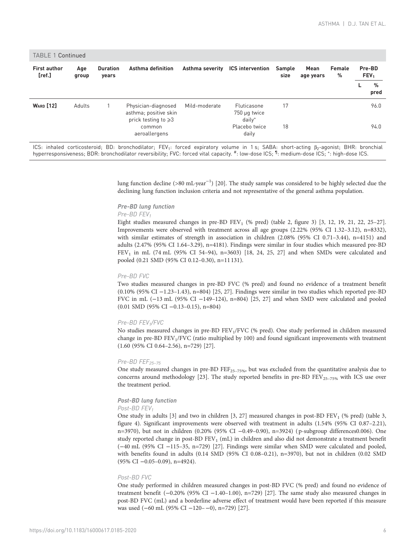| <b>First author</b><br>[ref.] | Age<br>group | <b>Duration</b><br>years | Asthma definition                                                         |               | Asthma severity ICS intervention             | Sample<br>size | Mean<br>age years | Female<br>% | Pre-BD<br>FEV <sub>1</sub> |           |
|-------------------------------|--------------|--------------------------|---------------------------------------------------------------------------|---------------|----------------------------------------------|----------------|-------------------|-------------|----------------------------|-----------|
|                               |              |                          |                                                                           |               |                                              |                |                   |             |                            | %<br>pred |
| <b>WARD</b> [12]              | Adults       |                          | Physician-diagnosed<br>asthma; positive skin<br>prick testing to $\geq 3$ | Mild-moderate | Fluticasone<br>750 µg twice<br>$d$ ail $v^*$ | 17             |                   |             |                            | 96.0      |
|                               |              |                          | common<br>aeroallergens                                                   |               | Placebo twice<br>daily                       | 18             |                   |             |                            | 94.0      |

ICS: inhaled corticosteroid; BD: bronchodilator; FEV<sub>1</sub>: forced expiratory volume in 1 s; SABA: short-acting β<sub>2</sub>-agonist; BHR: bronchial hyperresponsiveness; BDR: bronchodilator reversibility; FVC: forced vital capacity. #: low-dose ICS; 1: medium-dose ICS; 1: high-dose ICS.

> lung function decline (>80 mL·year<sup>-1</sup>) [[20](#page-12-0)]. The study sample was considered to be highly selected due the declining lung function inclusion criteria and not representative of the general asthma population.

# Pre-BD lung function

## Pre-BD FEV<sub>1</sub>

Eight studies measured changes in pre-BD  $FEV<sub>1</sub>$  (% pred) [\(table 2](#page-7-0), [figure 3\)](#page-9-0) [\[3, 12](#page-12-0), [19](#page-12-0), [21,](#page-12-0) [22, 25](#page-13-0)–[27](#page-13-0)]. Improvements were observed with treatment across all age groups (2.22% (95% CI 1.32–3.12), n=8332), with similar estimates of strength in association in children (2.08% (95% CI 0.71–3.44), n=4151) and adults (2.47% (95% CI 1.64–3.29), n=4181). Findings were similar in four studies which measured pre-BD  $FEV<sub>1</sub>$  in mL (74 mL (95% CI 54-94), n=3603) [\[18,](#page-12-0) [24, 25, 27](#page-13-0)] and when SMDs were calculated and pooled (0.21 SMD (95% CI 0.12–0.30), n=11 131).

### Pre-BD FVC

Two studies measured changes in pre-BD FVC (% pred) and found no evidence of a treatment benefit (0.10% (95% CI −1.23–1.43), n=804) [[25](#page-13-0), [27\]](#page-13-0). Findings were similar in two studies which reported pre-BD FVC in mL (−13 mL (95% CI −149–124), n=804) [\[25](#page-13-0), [27](#page-13-0)] and when SMD were calculated and pooled (0.01 SMD (95% CI −0.13–0.15), n=804)

### Pre-BD FEV1/FVC

No studies measured changes in pre-BD FEV<sub>1</sub>/FVC (% pred). One study performed in children measured change in pre-BD FEV1/FVC (ratio multiplied by 100) and found significant improvements with treatment (1.60 (95% CI 0.64–2.56), n=729) [\[27](#page-13-0)].

### $Pre-BD$  FEF<sub>25-75</sub>

One study measured changes in pre-BD FEF<sub>25–75%</sub>, but was excluded from the quantitative analysis due to concerns around methodology [\[23](#page-13-0)]. The study reported benefits in pre-BD FEV<sub>25-75%</sub> with ICS use over the treatment period.

## Post-BD lung function

## Post-BD FEV<sub>1</sub>

One study in adults [\[3](#page-12-0)] and two in children [\[3,](#page-12-0) [27](#page-13-0)] measured changes in post-BD FEV<sub>1</sub> (% pred) [\(table 3](#page-8-0), [figure 4\)](#page-9-0). Significant improvements were observed with treatment in adults (1.54% (95% CI 0.87–2.21), n=3970), but not in children (0.20% (95% CI −0.49–0.90), n=3924) ( p-subgroup differences0.006). One study reported change in post-BD FEV<sub>1</sub> (mL) in children and also did not demonstrate a treatment benefit (−40 mL (95% CI −115–35, n=729) [[27](#page-13-0)]. Findings were similar when SMD were calculated and pooled, with benefits found in adults (0.14 SMD (95% CI 0.08–0.21), n=3970), but not in children (0.02 SMD (95% CI −0.05–0.09), n=4924).

#### Post-BD FVC

One study performed in children measured changes in post-BD FVC (% pred) and found no evidence of treatment benefit (−0.20% (95% CI −1.40–1.00), n=729) [[27\]](#page-13-0). The same study also measured changes in post-BD FVC (mL) and a borderline adverse effect of treatment would have been reported if this measure was used (−60 mL (95% CI −120–−0), n=729) [\[27\]](#page-13-0).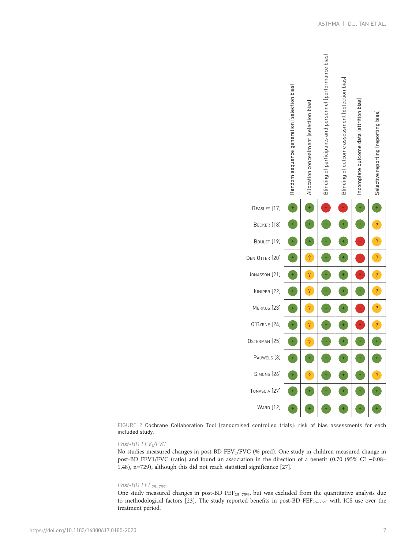<span id="page-6-0"></span>

FIGURE 2 Cochrane Collaboration Tool (randomised controlled trials): risk of bias assessments for each included study.

## Post-BD FEV1/FVC

No studies measured changes in post-BD FEV1/FVC (% pred). One study in children measured change in post-BD FEV1/FVC (ratio) and found an association in the direction of a benefit (0.70 (95% CI −0.08– 1.48), n=729), although this did not reach statistical significance [[27](#page-13-0)].

## Post-BD FEF<sub>25-75%</sub>

One study measured changes in post-BD FEF<sub>25-75%</sub>, but was excluded from the quantitative analysis due to methodological factors [\[23\]](#page-13-0). The study reported benefits in post-BD  $\text{FE}_{25-75\%}$  with ICS use over the treatment period.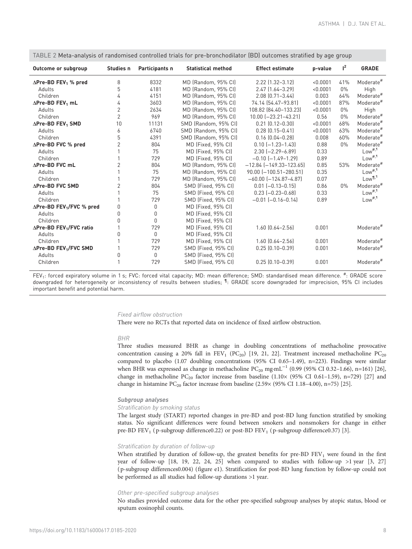| Outcome or subgroup                          | Studies n      | Participants n | <b>Statistical method</b> | <b>Effect estimate</b>        | p-value  | $I^2$ | <b>GRADE</b>          |
|----------------------------------------------|----------------|----------------|---------------------------|-------------------------------|----------|-------|-----------------------|
| $\Delta$ Pre-BD FEV <sub>1</sub> % pred      | 8              | 8332           | MD (Random, 95% CI)       | 2.22 (1.32-3.12)              | < 0.0001 | 41%   | Moderate <sup>#</sup> |
| Adults                                       | 5              | 4181           | MD (Random, 95% CI)       | $2.47$ [1.64-3.29]            | < 0.0001 | $0\%$ | High                  |
| Children                                     | 4              | 4151           | MD (Random, 95% CI)       | $2.08$ $(0.71 - 3.44)$        | 0.003    | 64%   | Moderate <sup>#</sup> |
| $\Delta$ Pre-BD FEV <sub>1</sub> mL          | 4              | 3603           | MD (Random, 95% CI)       | 74.14 (54.47-93.81)           | < 0.0001 | 87%   | Moderate <sup>#</sup> |
| Adults                                       | $\overline{c}$ | 2634           | MD (Random, 95% CI)       | 108.82 [84.40-133.23]         | < 0.0001 | $0\%$ | High                  |
| Children                                     | $\overline{2}$ | 969            | MD (Random, 95% CI)       | 10.00 [-23.21-43.21]          | 0.56     | $0\%$ | Moderate <sup>#</sup> |
| $\Delta$ Pre-BD FEV <sub>1</sub> SMD         | 10             | 11131          | SMD (Random, 95% CI)      | $0.21$ $[0.12 - 0.30]$        | < 0.0001 | 68%   | Moderate <sup>#</sup> |
| Adults                                       | 6              | 6740           | SMD (Random, 95% CI)      | $0.28$ $[0.15 - 0.41]$        | < 0.0001 | 63%   | Moderate <sup>#</sup> |
| Children                                     | 5              | 4391           | SMD (Random, 95% CI)      | $0.16$ $[0.04 - 0.28]$        | 0.008    | 60%   | Moderate <sup>#</sup> |
| $\Delta$ Pre-BD FVC % pred                   | 2              | 804            | MD (Fixed, 95% CI)        | $0.10$ $[-1.23 - 1.43]$       | 0.88     | $0\%$ | Moderate <sup>#</sup> |
| Adults                                       |                | 75             | MD (Fixed, 95% CI)        | $2.30$ $[-2.29 - 6.89]$       | 0.33     |       | Low <sup>#,1</sup>    |
| Children                                     |                | 729            | MD (Fixed, 95% CI)        | $-0.10$ $[-1.49 - 1.29]$      | 0.89     |       | Low <sup>#,1</sup>    |
| ∆Pre-BD FVC mL                               | 2              | 804            | MD (Random, 95% CI)       | $-12.84$ $[-149.33 - 123.65]$ | 0.85     | 53%   | Moderate <sup>#</sup> |
| Adults                                       |                | 75             | MD (Random, 95% CI)       | 90.00 [-100.51-280.51]        | 0.35     |       | Low <sup>#,1</sup>    |
| Children                                     |                | 729            | MD (Random, 95% CI)       | $-60.00$ $[-124.87 - 4.87]$   | 0.07     |       | Low <sup>¶,1</sup>    |
| ∆Pre-BD FVC SMD                              | 2              | 804            | SMD (Fixed, 95% CI)       | $0.01$ $[-0.13 - 0.15]$       | 0.86     | $0\%$ | Moderate <sup>#</sup> |
| Adults                                       |                | 75             | SMD (Fixed, 95% CI)       | $0.23$ $[-0.23 - 0.68]$       | 0.33     |       | Low <sup>#,1</sup>    |
| Children                                     |                | 729            | SMD (Fixed, 95% CI)       | $-0.01$ $(-0.16 - 0.14)$      | 0.89     |       | Low <sup>#, 1</sup>   |
| $\Delta$ Pre-BD FEV <sub>1</sub> /FVC % pred | 0              | $\mathbf 0$    | MD (Fixed, 95% CI)        |                               |          |       |                       |
| Adults                                       | 0              | $\mathbf 0$    | MD (Fixed, 95% CI)        |                               |          |       |                       |
| Children                                     | U              | 0              | MD (Fixed, 95% CI)        |                               |          |       |                       |
| $\Delta$ Pre-BD FEV <sub>1</sub> /FVC ratio  |                | 729            | MD (Fixed, 95% CI)        | $1.60$ $[0.64 - 2.56]$        | 0.001    |       | Moderate <sup>#</sup> |
| Adults                                       | 0              | $\mathbf{0}$   | MD (Fixed, 95% CI)        |                               |          |       |                       |
| Children                                     |                | 729            | MD (Fixed, 95% CI)        | $1.60$ $[0.64 - 2.56]$        | 0.001    |       | Moderate <sup>#</sup> |
| $\Delta$ Pre-BD FEV <sub>1</sub> /FVC SMD    |                | 729            | SMD (Fixed, 95% CI)       | $0.25$ $(0.10 - 0.39)$        | 0.001    |       | Moderate <sup>#</sup> |
| Adults                                       | 0              | $\Omega$       | SMD (Fixed, 95% CI)       |                               |          |       |                       |
| Children                                     | 1              | 729            | SMD (Fixed, 95% CI)       | $0.25$ $[0.10 - 0.39]$        | 0.001    |       | Moderate <sup>#</sup> |

<span id="page-7-0"></span>TABLE 2 Meta-analysis of randomised controlled trials for pre-bronchodilator (BD) outcomes stratified by age group

FEV<sub>1</sub>: forced expiratory volume in 1 s; FVC: forced vital capacity; MD: mean difference; SMD: standardised mean difference. <sup>#</sup>: GRADE score downgraded for heterogeneity or inconsistency of results between studies; <sup>1</sup>: GRADE score downgraded for imprecision, 95% CI includes important benefit and potential harm.

#### Fixed airflow obstruction

There were no RCTs that reported data on incidence of fixed airflow obstruction.

#### BHR

Three studies measured BHR as change in doubling concentrations of methacholine provocative concentration causing a 20% fall in FEV<sub>1</sub> (PC<sub>20</sub>) [\[19](#page-12-0), [21](#page-12-0), [22](#page-13-0)]. Treatment increased methacholine PC<sub>20</sub> compared to placebo (1.07 doubling concentrations (95% CI 0.65–1.49), n=223). Findings were similar when BHR was expressed as change in methacholine PC<sub>20</sub> mg·mL<sup>-1</sup> (0.99 (95% CI 0.32-1.66), n=161) [[26](#page-13-0)], change in methacholine  $PC_{20}$  factor increase from baseline (1.10× (95% CI 0.61-1.59), n=729) [[27](#page-13-0)] and change in histamine  $PC_{20}$  factor increase from baseline (2.59 $\times$  (95% CI 1.18-4.00), n=75) [[25](#page-13-0)].

## Subgroup analyses

#### Stratification by smoking status

The largest study (START) reported changes in pre-BD and post-BD lung function stratified by smoking status. No significant differences were found between smokers and nonsmokers for change in either pre-BD FEV<sub>1</sub> (p-subgroup difference0.22) or post-BD FEV<sub>1</sub> (p-subgroup difference0.37) [\[3\]](#page-12-0).

#### Stratification by duration of follow-up

When stratified by duration of follow-up, the greatest benefits for pre-BD FEV<sub>1</sub> were found in the first year of follow-up [\[18](#page-12-0), [19](#page-12-0), [22](#page-13-0), [24, 25\]](#page-13-0) when compared to studies with follow-up >1 year [[3](#page-12-0), [27](#page-13-0)] ( p-subgroup differences0.004) ([figure e1\)](http://err.ersjournals.com/lookup/doi/10.1183/16000617.0185-2020.figures-only#fig-data-supplementary-materials). Stratification for post-BD lung function by follow-up could not be performed as all studies had follow-up durations >1 year.

#### Other pre-specified subgroup analyses

No studies provided outcome data for the other pre-specified subgroup analyses by atopic status, blood or sputum eosinophil counts.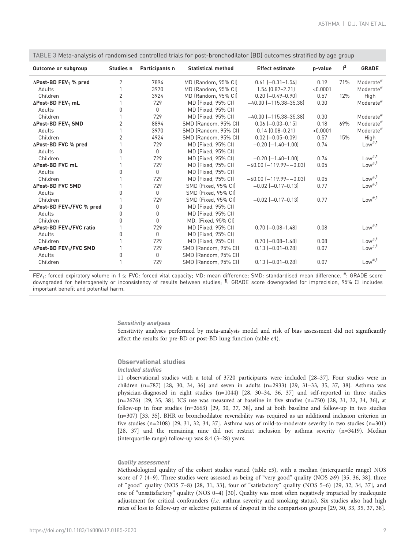| Outcome or subgroup                             | Studies n      | Participants n                   | <b>Statistical method</b> | <b>Effect estimate</b>       | p-value  | $l^2$ | <b>GRADE</b>          |
|-------------------------------------------------|----------------|----------------------------------|---------------------------|------------------------------|----------|-------|-----------------------|
| $\triangle$ Post-BD FEV <sub>1</sub> % pred     | $\overline{2}$ | 7894                             | MD (Random, 95% CI)       | $0.61$ $[-0.31 - 1.54]$      | 0.19     | 71%   | Moderate <sup>#</sup> |
| Adults                                          |                | 3970                             | MD (Random, 95% CI)       | $1.54$ $(0.87 - 2.21)$       | < 0.0001 |       | Moderate <sup>#</sup> |
| Children                                        | $\overline{2}$ | 3924                             | MD (Random, 95% CI)       | $0.20$ $[-0.49 - 0.90]$      | 0.57     | 12%   | High                  |
| $\Delta$ Post-BD FEV <sub>1</sub> mL            |                | 729                              | MD (Fixed, 95% CI)        | $-40.00$ $[-115.38 - 35.38]$ | 0.30     |       | Moderate <sup>#</sup> |
| Adults                                          | $\Omega$       | $\begin{array}{c} \n\end{array}$ | MD (Fixed, 95% CI)        |                              |          |       |                       |
| Children                                        |                | 729                              | MD (Fixed, 95% CI)        | $-40.00$ $[-115.38 - 35.38]$ | 0.30     |       | Moderate <sup>#</sup> |
| $\triangle$ Post-BD FEV <sub>1</sub> SMD        | 2              | 8894                             | SMD (Random, 95% CI)      | $0.06$ $[-0.03 - 0.15]$      | 0.18     | 69%   | Moderate <sup>#</sup> |
| Adults                                          |                | 3970                             | SMD (Random, 95% CI)      | $0.14$ $(0.08 - 0.21)$       | < 0.0001 |       | Moderate <sup>#</sup> |
| Children                                        | 2              | 4924                             | SMD (Random, 95% CI)      | $0.02$ $[-0.05 - 0.09]$      | 0.57     | 15%   | High                  |
| ∆Post-BD FVC % pred                             |                | 729                              | MD (Fixed, 95% CI)        | $-0.20$ $[-1.40-1.00]$       | 0.74     |       | Low <sup>#,1</sup>    |
| Adults                                          | N              | $\mathbf{0}$                     | MD (Fixed, 95% CI)        |                              |          |       |                       |
| Children                                        |                | 729                              | MD (Fixed, 95% CI)        | $-0.20$ $[-1.40 - 1.00]$     | 0.74     |       | Low <sup>#,1</sup>    |
| <b>APost-BD FVC mL</b>                          |                | 729                              | MD (Fixed, 95% CI)        | $-60.00$ $[-119.99 - 0.03]$  | 0.05     |       | Low <sup>#,1</sup>    |
| Adults                                          | N              | $\mathbf{0}$                     | MD (Fixed, 95% CI)        |                              |          |       |                       |
| Children                                        |                | 729                              | MD (Fixed, 95% CI)        | $-60.00$ $[-119.99 - 0.03]$  | 0.05     |       | Low <sup>#,1</sup>    |
| ∆Post-BD FVC SMD                                |                | 729                              | SMD (Fixed, 95% CI)       | $-0.02$ $[-0.17-0.13]$       | 0.77     |       | $Low^{#, \mathbb{I}}$ |
| Adults                                          | U              | $\mathbf{0}$                     | SMD (Fixed, 95% CI)       |                              |          |       |                       |
| Children                                        |                | 729                              | SMD (Fixed, 95% CI)       | $-0.02$ $[-0.17-0.13]$       | 0.77     |       | $Low^{#, \mathbb{I}}$ |
| $\Delta$ Post-BD FEV <sub>1</sub> /FVC % pred   | 0              | $\mathbf{0}$                     | MD (Fixed, 95% CI)        |                              |          |       |                       |
| Adults                                          | 0              | $\mathbf{0}$                     | MD (Fixed, 95% CI)        |                              |          |       |                       |
| Children                                        | O              | $\mathbf{0}$                     | MD. (Fixed, 95% CI)       |                              |          |       |                       |
| $\triangle$ Post-BD FEV <sub>1</sub> /FVC ratio |                | 729                              | MD (Fixed, 95% CI)        | $0.70$ $[-0.08 - 1.48]$      | 0.08     |       | Low <sup>#,1</sup>    |
| Adults                                          | <sup>0</sup>   | $\begin{array}{c} \n\end{array}$ | MD (Fixed, 95% CI)        |                              |          |       |                       |
| Children                                        |                | 729                              | MD (Fixed, 95% CI)        | $0.70$ $[-0.08 - 1.48]$      | 0.08     |       | $Low$ <sup>#,1</sup>  |
| $\Delta$ Post-BD FEV <sub>1</sub> /FVC SMD      |                | 729                              | SMD (Random, 95% CI)      | $0.13$ $[-0.01 - 0.28]$      | 0.07     |       | Low <sup>#, 1</sup>   |
| Adults                                          | N              | $\mathbf{0}$                     | SMD (Random, 95% CI)      |                              |          |       |                       |
| Children                                        |                | 729                              | SMD (Random, 95% CI)      | $0.13[-0.01 - 0.28]$         | 0.07     |       | Low <sup>#,1</sup>    |

<span id="page-8-0"></span>TABLE 3 Meta-analysis of randomised controlled trials for post-bronchodilator (BD) outcomes stratified by age group

FEV<sub>1</sub>: forced expiratory volume in 1 s; FVC: forced vital capacity; MD: mean difference; SMD: standardised mean difference. <sup>#</sup>: GRADE score downgraded for heterogeneity or inconsistency of results between studies; <sup>1</sup>: GRADE score downgraded for imprecision, 95% CI includes important benefit and potential harm.

#### Sensitivity analyses

Sensitivity analyses performed by meta-analysis model and risk of bias assessment did not significantly affect the results for pre-BD or post-BD lung function ([table e4\)](http://err.ersjournals.com/lookup/doi/10.1183/16000617.0185-2020.figures-only#fig-data-supplementary-materials).

## Observational studies

# Included studies

11 observational studies with a total of 3720 participants were included [[28](#page-13-0)–[37](#page-13-0)]. Four studies were in children (n=787) [\[28](#page-13-0), [30, 34, 36\]](#page-13-0) and seven in adults (n=2933) [[29](#page-13-0), [31](#page-13-0)–[33](#page-13-0), [35](#page-13-0), [37, 38\]](#page-13-0). Asthma was physician-diagnosed in eight studies (n=1044) [\[28, 30](#page-13-0)–[34](#page-13-0), [36](#page-13-0), [37\]](#page-13-0) and self-reported in three studies (n=2676) [\[29](#page-13-0), [35, 38](#page-13-0)]. ICS use was measured at baseline in five studies (n=750) [\[28](#page-13-0), [31, 32](#page-13-0), [34, 36](#page-13-0)], at follow-up in four studies (n=2663) [\[29, 30](#page-13-0), [37, 38\]](#page-13-0), and at both baseline and follow-up in two studies (n=307) [\[33, 35](#page-13-0)]. BHR or bronchodilator reversibility was required as an additional inclusion criterion in five studies (n=2108) [\[29, 31](#page-13-0), [32, 34](#page-13-0), [37](#page-13-0)]. Asthma was of mild-to-moderate severity in two studies (n=301) [\[28, 37](#page-13-0)] and the remaining nine did not restrict inclusion by asthma severity (n=3419). Median (interquartile range) follow-up was 8.4 (3–28) years.

## Quality assessment

Methodological quality of the cohort studies varied ([table e5\)](http://err.ersjournals.com/lookup/doi/10.1183/16000617.0185-2020.figures-only#fig-data-supplementary-materials), with a median (interquartile range) NOS score of 7 (4–9). Three studies were assessed as being of "very good" quality (NOS  $\geq$ 9) [\[35](#page-13-0), [36, 38](#page-13-0)], three of "good" quality (NOS 7–8) [[28](#page-13-0), [31](#page-13-0), [33](#page-13-0)], four of "satisfactory" quality (NOS 5–6) [\[29, 32](#page-13-0), [34](#page-13-0), [37](#page-13-0)], and one of "unsatisfactory" quality (NOS 0–4) [\[30\]](#page-13-0). Quality was most often negatively impacted by inadequate adjustment for critical confounders (i.e. asthma severity and smoking status). Six studies also had high rates of loss to follow-up or selective patterns of dropout in the comparison groups [\[29, 30, 33](#page-13-0), [35, 37, 38](#page-13-0)].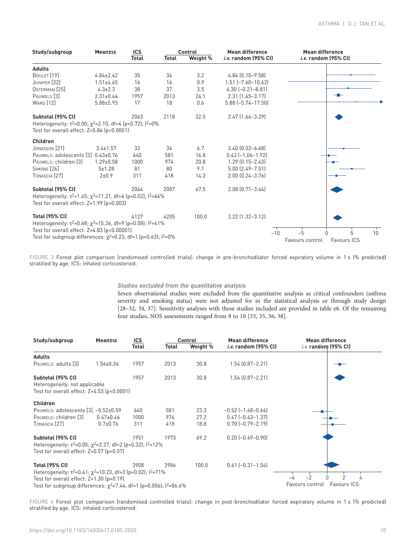<span id="page-9-0"></span>

| Study/subgroup                                                                                                                                                                                                                     | <b>Mean±se</b>  | ICS<br>Total | <b>Total</b> | Control<br>Weight % | <b>Mean difference</b><br><i>i.v.</i> random (95% CI) | <b>Mean difference</b><br><i>i.v.</i> random (95% CI) |
|------------------------------------------------------------------------------------------------------------------------------------------------------------------------------------------------------------------------------------|-----------------|--------------|--------------|---------------------|-------------------------------------------------------|-------------------------------------------------------|
| <b>Adults</b>                                                                                                                                                                                                                      |                 |              |              |                     |                                                       |                                                       |
| BOULET <sup>[19]</sup>                                                                                                                                                                                                             | $4.84 \pm 2.42$ | 35           | 34           | 3.2                 | 4.84 (0.10-9.58)                                      |                                                       |
| JUNIPER [22]                                                                                                                                                                                                                       | $1.51 \pm 4.65$ | 16           | 16           | 0.9                 | $1.51$ $[-7.60 - 10.62]$                              |                                                       |
| OSTERMAN <sup>[25]</sup>                                                                                                                                                                                                           | $4.3 \pm 2.3$   | 38           | 37           | 3.5                 | $4.30[-0.21 - 8.81]$                                  |                                                       |
| PAUWELS <sup>[3]</sup>                                                                                                                                                                                                             | $2.31 \pm 0.44$ | 1957         | 2013         | 24.1                | $2.31$ $(1.45 - 3.17)$                                |                                                       |
| <b>WARD</b> [12]                                                                                                                                                                                                                   | $5.88 \pm 5.93$ | 17           | 18           | 0.6                 | $5.88$ $[-5.74 - 17.50]$                              |                                                       |
| Subtotal (95% CI)<br>Heterogeneity: $\tau^2 = 0.00$ ; $\chi^2 = 2.10$ , df=4 (p=0.72); $1^2 = 0\%$<br>Test for overall effect: $Z=5.84$ ( $p<0.0001$ )                                                                             |                 | 2063         | 2118         | 32.5                | 2.47 [1.64-3.29]                                      |                                                       |
| Children                                                                                                                                                                                                                           |                 |              |              |                     |                                                       |                                                       |
| JONASSON [21]                                                                                                                                                                                                                      | $3.4 \pm 1.57$  | 32           | 34           | 6.7                 | $3.40$ $[0.32 - 6.48]$                                |                                                       |
| PAUWELS: adolescents [3] 0.43±0.76                                                                                                                                                                                                 |                 | 640          | 581          | 16.8                | $0.43$ [-1.06-1.92]                                   |                                                       |
| PAUWELS: children [3]                                                                                                                                                                                                              | $1.29 \pm 0.58$ | 1000         | 974          | 20.8                | $1.29$ $[0.15 - 2.43]$                                |                                                       |
| <b>SIMONS</b> [26]                                                                                                                                                                                                                 | $5 + 1.28$      | 81           | 80           | 9.1                 | $5.00$ $(2.49 - 7.51)$                                |                                                       |
| TONASCIA <sup>[27]</sup>                                                                                                                                                                                                           | $2 + 0.9$       | 311          | 418          | 14.2                | 2.00 (0.24-3.76)                                      |                                                       |
| Subtotal (95% CI)<br>Heterogeneity: $\tau^2 = 1.45$ ; $\chi^2 = 11.21$ , df=4 (p=0.02); $\frac{12}{5} = 64\%$<br>Test for overall effect: $Z=1.99$ ( $p=0.003$ )                                                                   |                 | 2064         | 2087         | 67.5                | $2.08$ $(0.71 - 3.44)$                                |                                                       |
| <b>Total (95% CI)</b><br>Heterogeneity: $\tau^2 = 0.68$ ; $\chi^2 = 15.36$ , df=9 (p=0.08); $1^2 = 41\%$<br>Test for overall effect: Z=4.83 (p<0.00001)<br>Test for subgroup differences: $\chi^2$ =0.23, df=1 (p=0.63); $1^2$ =0% |                 | 4127         | 4205         | 100.0               | 2.22 (1.32-3.12)<br>$-10$                             | $-5$<br>5<br>10<br>Favours control<br>Favours ICS     |

FIGURE 3 Forest plot comparison (randomised controlled trials): change in pre-bronchodilator forced expiratory volume in 1 s (% predicted) stratified by age. ICS: inhaled corticosteroid.

## Studies excluded from the quantitative analysis

Seven observational studies were excluded from the quantitative analysis as critical confounders (asthma severity and smoking status) were not adjusted for in the statistical analysis or through study design [\[28](#page-13-0)–[32, 34, 37](#page-13-0)]. Sensitivity analyses with these studies included are provided in [table e6](http://err.ersjournals.com/lookup/doi/10.1183/16000617.0185-2020.figures-only#fig-data-supplementary-materials). Of the remaining four studies, NOS assessments ranged from 8 to 10 [\[33, 35](#page-13-0), [36, 38\]](#page-13-0).

| Study/subgroup                                                                                                                                             | <b>Mean±se</b>  | ICS   |       | Control  | <b>Mean difference</b>      | Mean difference                       |
|------------------------------------------------------------------------------------------------------------------------------------------------------------|-----------------|-------|-------|----------|-----------------------------|---------------------------------------|
|                                                                                                                                                            |                 | Total | Total | Weight % | <i>i.v.</i> random (95% CI) | i.v. random (95% CI)                  |
| <b>Adults</b>                                                                                                                                              |                 |       |       |          |                             |                                       |
| PAUWELS: adults [3]                                                                                                                                        | $1.54 \pm 0.34$ | 1957  | 2013  | 30.8     | $1.54$ $(0.87 - 2.21)$      |                                       |
| Subtotal (95% CI)<br>Heterogeneity: not applicable<br>Test for overall effect: $Z=4.53$ ( $p<0.0001$ )                                                     |                 | 1957  | 2013  | 30.8     | $1.54$ $(0.87 - 2.21)$      |                                       |
| <b>Children</b>                                                                                                                                            |                 |       |       |          |                             |                                       |
| PAUWELS: adolescents [3] -0.52±0.59                                                                                                                        |                 | 640   | 581   | 23.3     | $-0.52$ $[-1.68 - 0.64]$    |                                       |
| PAUWELS: children [3]                                                                                                                                      | $0.47 \pm 0.46$ | 1000  | 974   | 27.2     | $0.47$ $[-0.43 - 1.37]$     |                                       |
| TONASCIA <sup>[27]</sup>                                                                                                                                   | $0.7 + 0.76$    | 311   | 418   | 18.8     | $0.70$ $[-0.79 - 2.19]$     |                                       |
| Subtotal (95% CI)<br>Heterogeneity: $\tau^2 = 0.05$ ; $\chi^2 = 2.27$ , df=2 (p=0.32); $\frac{12}{5} = 12\%$<br>Test for overall effect: $Z=0.57$ (p=0.57) |                 | 1951  | 1973  | 69.2     | $0.20$ $[-0.49 - 0.90]$     |                                       |
| <b>Total (95% CI)</b>                                                                                                                                      |                 | 3908  | 3986  | 100.0    | $0.61$ $[-0.31 - 1.54]$     |                                       |
| Heterogeneity: $\tau^2 = 0.61$ ; $\chi^2 = 10.23$ , df=3 (p=0.02); $1^2 = 71\%$                                                                            |                 |       |       |          |                             |                                       |
| Test for overall effect: $Z=1.30$ ( $p=0.19$ )                                                                                                             |                 |       |       |          |                             | 2<br>$-2$<br>4                        |
| Test for subgroup differences: $\chi^2$ =7.44, df=1 (p=0.006); $1^2$ =86.6%                                                                                |                 |       |       |          |                             | <b>Favours ICS</b><br>Favours control |

FIGURE 4 Forest plot comparison (randomised controlled trials): change in post-bronchodilator forced expiratory volume in 1 s (% predicted) stratified by age. ICS: inhaled corticosteroid.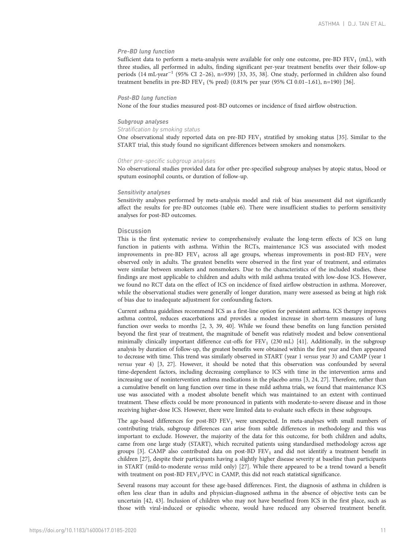## Pre-BD lung function

Sufficient data to perform a meta-analysis were available for only one outcome, pre-BD FEV<sub>1</sub> (mL), with three studies, all performed in adults, finding significant per-year treatment benefits over their follow-up periods (14 mL·year−<sup>1</sup> (95% CI 2–26), n=939) [[33](#page-13-0), [35](#page-13-0), [38](#page-13-0)]. One study, performed in children also found treatment benefits in pre-BD  $FEV_1$  (% pred) (0.81% per year (95% CI 0.01–1.61), n=190) [[36](#page-13-0)].

## Post-BD lung function

None of the four studies measured post-BD outcomes or incidence of fixed airflow obstruction.

#### Subgroup analyses

#### Stratification by smoking status

One observational study reported data on pre-BD  $FEV<sub>1</sub>$  stratified by smoking status [[35](#page-13-0)]. Similar to the START trial, this study found no significant differences between smokers and nonsmokers.

#### Other pre-specific subgroup analyses

No observational studies provided data for other pre-specified subgroup analyses by atopic status, blood or sputum eosinophil counts, or duration of follow-up.

#### Sensitivity analyses

Sensitivity analyses performed by meta-analysis model and risk of bias assessment did not significantly affect the results for pre-BD outcomes ([table e6](http://err.ersjournals.com/lookup/doi/10.1183/16000617.0185-2020.figures-only#fig-data-supplementary-materials)). There were insufficient studies to perform sensitivity analyses for post-BD outcomes.

## **Discussion**

This is the first systematic review to comprehensively evaluate the long-term effects of ICS on lung function in patients with asthma. Within the RCTs, maintenance ICS was associated with modest improvements in pre-BD  $FEV_1$  across all age groups, whereas improvements in post-BD  $FEV_1$  were observed only in adults. The greatest benefits were observed in the first year of treatment, and estimates were similar between smokers and nonsmokers. Due to the characteristics of the included studies, these findings are most applicable to children and adults with mild asthma treated with low-dose ICS. However, we found no RCT data on the effect of ICS on incidence of fixed airflow obstruction in asthma. Moreover, while the observational studies were generally of longer duration, many were assessed as being at high risk of bias due to inadequate adjustment for confounding factors.

Current asthma guidelines recommend ICS as a first-line option for persistent asthma. ICS therapy improves asthma control, reduces exacerbations and provides a modest increase in short-term measures of lung function over weeks to months [\[2, 3,](#page-12-0) [39, 40](#page-13-0)]. While we found these benefits on lung function persisted beyond the first year of treatment, the magnitude of benefit was relatively modest and below conventional minimally clinically important difference cut-offs for FEV<sub>1</sub> (230 mL) [[41](#page-13-0)]. Additionally, in the subgroup analysis by duration of follow-up, the greatest benefits were obtained within the first year and then appeared to decrease with time. This trend was similarly observed in START (year 1 versus year 3) and CAMP (year 1 versus year 4) [[3,](#page-12-0) [27](#page-13-0)]. However, it should be noted that this observation was confounded by several time-dependent factors, including decreasing compliance to ICS with time in the intervention arms and increasing use of nonintervention asthma medications in the placebo arms [[3](#page-12-0), [24](#page-13-0), [27](#page-13-0)]. Therefore, rather than a cumulative benefit on lung function over time in these mild asthma trials, we found that maintenance ICS use was associated with a modest absolute benefit which was maintained to an extent with continued treatment. These effects could be more pronounced in patients with moderate-to-severe disease and in those receiving higher-dose ICS. However, there were limited data to evaluate such effects in these subgroups.

The age-based differences for post-BD  $FEV<sub>1</sub>$  were unexpected. In meta-analyses with small numbers of contributing trials, subgroup differences can arise from subtle differences in methodology and this was important to exclude. However, the majority of the data for this outcome, for both children and adults, came from one large study (START), which recruited patients using standardised methodology across age groups [\[3\]](#page-12-0). CAMP also contributed data on post-BD  $FEV<sub>1</sub>$  and did not identify a treatment benefit in children [\[27\]](#page-13-0), despite their participants having a slightly higher disease severity at baseline than participants in START (mild-to-moderate versus mild only) [[27](#page-13-0)]. While there appeared to be a trend toward a benefit with treatment on post-BD  $FEV<sub>1</sub>/FVC$  in CAMP, this did not reach statistical significance.

Several reasons may account for these age-based differences. First, the diagnosis of asthma in children is often less clear than in adults and physician-diagnosed asthma in the absence of objective tests can be uncertain [[42](#page-13-0), [43](#page-13-0)]. Inclusion of children who may not have benefited from ICS in the first place, such as those with viral-induced or episodic wheeze, would have reduced any observed treatment benefit.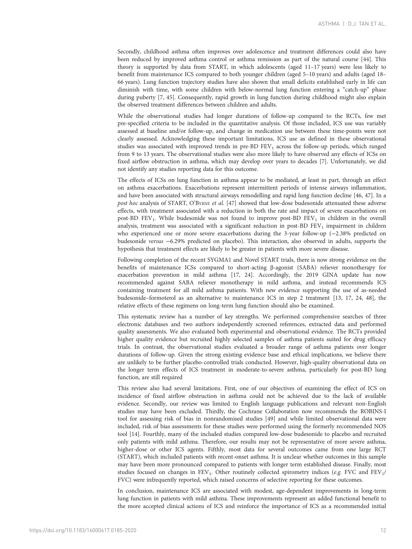Secondly, childhood asthma often improves over adolescence and treatment differences could also have been reduced by improved asthma control or asthma remission as part of the natural course [\[44\]](#page-13-0). This theory is supported by data from START, in which adolescents (aged 11–17 years) were less likely to benefit from maintenance ICS compared to both younger children (aged 5–10 years) and adults (aged 18– 66 years). Lung function trajectory studies have also shown that small deficits established early in life can diminish with time, with some children with below-normal lung function entering a "catch-up" phase during puberty [\[7,](#page-12-0) [45](#page-13-0)]. Consequently, rapid growth in lung function during childhood might also explain the observed treatment differences between children and adults.

While the observational studies had longer durations of follow-up compared to the RCTs, few met pre-specified criteria to be included in the quantitative analysis. Of those included, ICS use was variably assessed at baseline and/or follow-up, and change in medication use between these time-points were not clearly assessed. Acknowledging these important limitations, ICS use as defined in these observational studies was associated with improved trends in pre-BD FEV<sub>1</sub> across the follow-up periods, which ranged from 9 to 13 years. The observational studies were also more likely to have observed any effects of ICSs on fixed airflow obstruction in asthma, which may develop over years to decades [\[7](#page-12-0)]. Unfortunately, we did not identify any studies reporting data for this outcome.

The effects of ICSs on lung function in asthma appear to be mediated, at least in part, through an effect on asthma exacerbations. Exacerbations represent intermittent periods of intense airways inflammation, and have been associated with structural airways remodelling and rapid lung function decline [\[46, 47](#page-13-0)]. In a post hoc analysis of START, O'BYRNE et al. [\[47\]](#page-13-0) showed that low-dose budesonide attenuated these adverse effects, with treatment associated with a reduction in both the rate and impact of severe exacerbations on post-BD FEV<sub>1</sub>. While budesonide was not found to improve post-BD FEV<sub>1</sub> in children in the overall analysis, treatment was associated with a significant reduction in post-BD  $FEV<sub>1</sub>$  impairment in children who experienced one or more severe exacerbations during the 3-year follow-up (−2.38% predicted on budesonide versus −6.29% predicted on placebo). This interaction, also observed in adults, supports the hypothesis that treatment effects are likely to be greater in patients with more severe disease.

Following completion of the recent SYGMA1 and Novel START trials, there is now strong evidence on the benefits of maintenance ICSs compared to short-acting β-agonist (SABA) reliever monotherapy for exacerbation prevention in mild asthma [\[17,](#page-12-0) [24](#page-13-0)]. Accordingly, the 2019 GINA update has now recommended against SABA reliever monotherapy in mild asthma, and instead recommends ICS containing treatment for all mild asthma patients. With new evidence supporting the use of as-needed budesonide–formoterol as an alternative to maintenance ICS in step 2 treatment [[13](#page-12-0), [17](#page-12-0), [24](#page-13-0), [48\]](#page-13-0), the relative effects of these regimens on long-term lung function should also be examined.

This systematic review has a number of key strengths. We performed comprehensive searches of three electronic databases and two authors independently screened references, extracted data and performed quality assessments. We also evaluated both experimental and observational evidence. The RCTs provided higher quality evidence but recruited highly selected samples of asthma patients suited for drug efficacy trials. In contrast, the observational studies evaluated a broader range of asthma patients over longer durations of follow-up. Given the strong existing evidence base and ethical implications, we believe there are unlikely to be further placebo-controlled trials conducted. However, high-quality observational data on the longer term effects of ICS treatment in moderate-to-severe asthma, particularly for post-BD lung function, are still required

This review also had several limitations. First, one of our objectives of examining the effect of ICS on incidence of fixed airflow obstruction in asthma could not be achieved due to the lack of available evidence. Secondly, our review was limited to English language publications and relevant non-English studies may have been excluded. Thirdly, the Cochrane Collaboration now recommends the ROBINS-I tool for assessing risk of bias in nonrandomised studies [[49](#page-13-0)] and while limited observational data were included, risk of bias assessments for these studies were performed using the formerly recommended NOS tool [\[14\]](#page-12-0). Fourthly, many of the included studies compared low-dose budesonide to placebo and recruited only patients with mild asthma. Therefore, our results may not be representative of more severe asthma, higher-dose or other ICS agents. Fifthly, most data for several outcomes came from one large RCT (START), which included patients with recent-onset asthma. It is unclear whether outcomes in this sample may have been more pronounced compared to patients with longer term established disease. Finally, most studies focused on changes in  $FEV<sub>1</sub>$ . Other routinely collected spirometry indices (e.g. FVC and  $FEV<sub>1</sub>$ / FVC) were infrequently reported, which raised concerns of selective reporting for these outcomes.

In conclusion, maintenance ICS are associated with modest, age-dependent improvements in long-term lung function in patients with mild asthma. These improvements represent an added functional benefit to the more accepted clinical actions of ICS and reinforce the importance of ICS as a recommended initial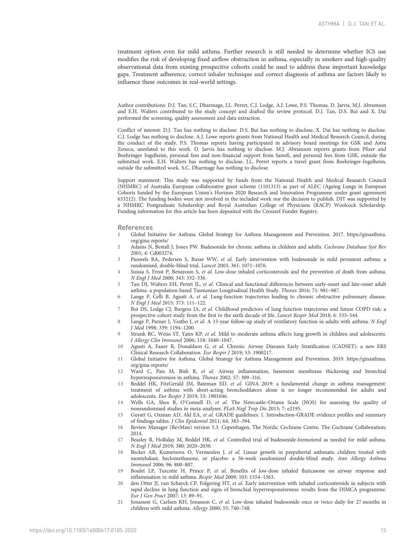<span id="page-12-0"></span>treatment option even for mild asthma. Further research is still needed to determine whether ICS use modifies the risk of developing fixed airflow obstruction in asthma, especially in smokers and high-quality observational data from existing prospective cohorts could be used to address these important knowledge gaps. Treatment adherence, correct inhaler technique and correct diagnosis of asthma are factors likely to influence these outcomes in real-world settings.

Author contributions: D.J. Tan, S.C. Dharmage, J.L. Perret, C.J. Lodge, A.J. Lowe, P.S. Thomas, D. Jarvis, M.J. Abramson and E.H. Walters contributed to the study concept and drafted the review protocol. D.J. Tan, D.S. Bui and X. Dai performed the screening, quality assessment and data extraction.

Conflict of interest: D.J. Tan has nothing to disclose. D.S. Bui has nothing to disclose. X. Dai has nothing to disclose. C.J. Lodge has nothing to disclose. A.J. Lowe reports grants from National Health and Medical Research Council, during the conduct of the study. P.S. Thomas reports having participated in advisory board meetings for GSK and Astra Zeneca, unrelated to this work. D. Jarvis has nothing to disclose. M.J. Abramson reports grants from Pfizer and Boehringer Ingelheim, personal fees and non-financial support from Sanofi, and personal fees from GSK, outside the submitted work. E.H. Walters has nothing to disclose. J.L. Perret reports a travel grant from Boehringer-Ingelheim, outside the submitted work. S.C. Dharmage has nothing to disclose.

Support statement: This study was supported by funds from the National Health and Medical Research Council (NHMRC) of Australia European collaborative grant scheme (1101313) as part of ALEC (Ageing Lungs in European Cohorts funded by the European Union's Horizon 2020 Research and Innovation Programme under grant agreement 633212). The funding bodies were not involved in the included work nor the decision to publish. DJT was supported by a NHMRC Postgraduate Scholarship and Royal Australian College of Physicians (RACP) Woolcock Scholarship. Funding information for this article has been deposited with the [Crossref Funder Registry.](https://www.crossref.org/services/funder-registry/)

#### References

- 1 Global Initiative for Asthma. Global Strategy for Asthma Management and Prevention. 2017. [https://ginasthma.](https://ginasthma.org/gina-reports/) [org/gina-reports/](https://ginasthma.org/gina-reports/)
- 2 Adams N, Bestall J, Jones PW. Budesonide for chronic asthma in children and adults. Cochrane Database Syst Rev 2001; 4: Cd003274.
- 3 Pauwels RA, Pedersen S, Busse WW, et al. Early intervention with budesonide in mild persistent asthma: a randomised, double-blind trial. Lancet 2003; 361: 1071–1076.
- 4 Suissa S, Ernst P, Benayoun S, et al. Low-dose inhaled corticosteroids and the prevention of death from asthma. N Engl J Med 2000; 343: 332–336.
- 5 Tan DJ, Walters EH, Perret JL, et al. Clinical and functional differences between early-onset and late-onset adult asthma: a population-based Tasmanian Longitudinal Health Study. Thorax 2016; 71: 981–987.
- 6 Lange P, Celli B, Agusti A, et al. Lung-function trajectories leading to chronic obstructive pulmonary disease. N Engl J Med 2015; 373: 111–122.
- 7 Bui DS, Lodge CJ, Burgess JA, et al. Childhood predictors of lung function trajectories and future COPD risk: a prospective cohort study from the first to the sixth decade of life. Lancet Respir Med 2018; 6: 535–544.
- 8 Lange P, Parner J, Vestbo J, et al. A 15-year follow-up study of ventilatory function in adults with asthma. N Engl J Med 1998; 339: 1194–1200.
- 9 Strunk RC, Weiss ST, Yates KP, et al. Mild to moderate asthma affects lung growth in children and adolescents. J Allergy Clin Immunol 2006; 118: 1040–1047.
- 10 Agusti A, Faner R, Donaldson G, et al. Chronic Airway Diseases Early Stratification (CADSET): a new ERS Clinical Research Collaboration. Eur Respir J 2019; 53: 1900217.
- 11 Global Initiative for Asthma. Global Strategy for Asthma Management and Prevention. 2019. [https://ginasthma.](https://ginasthma.org/gina-reports/) [org/gina-reports/](https://ginasthma.org/gina-reports/)
- 12 Ward C, Pais M, Bish R, et al. Airway inflammation, basement membrane thickening and bronchial hyperresponsiveness in asthma. Thorax 2002; 57: 309–316.
- 13 Reddel HK, FitzGerald JM, Bateman ED, et al. GINA 2019: a fundamental change in asthma management: treatment of asthma with short-acting bronchodilators alone is no longer recommended for adults and adolescents. Eur Respir J 2019; 53: 1901046.
- 14 Wells GA, Shea B, O'Connell D, et al. The Newcastle–Ottawa Scale (NOS) for assessing the quality of nonrandomised studies in meta-analyses. PLoS Negl Trop Dis 2013; 7: e2195.
- 15 Guyatt G, Oxman AD, Akl EA, et al. GRADE guidelines: 1. Introduction-GRADE evidence profiles and summary of findings tables. J Clin Epidemiol 2011; 64: 383–394.
- 16 Review Manager (RevMan) version 5.3. Copenhagen, The Nordic Cochrane Centre, The Cochrane Collaboration; 2014.
- 17 Beasley R, Holliday M, Reddel HK, et al. Controlled trial of budesonide-formoterol as needed for mild asthma. N Engl J Med 2019; 380: 2020–2030.
- 18 Becker AB, Kuznetsova O, Vermeulen J, et al. Linear growth in prepubertal asthmatic children treated with montelukast, beclomethasone, or placebo: a 56-week randomized double-blind study. Ann Allergy Asthma Immunol 2006; 96: 800–807.
- 19 Boulet LP, Turcotte H, Prince P, et al. Benefits of low-dose inhaled fluticasone on airway response and inflammation in mild asthma. Respir Med 2009; 103: 1554–1563.
- 20 den Otter JJ, van Schayck CP, Folgering HT, et al. Early intervention with inhaled corticosteroids in subjects with rapid decline in lung function and signs of bronchial hyperresponsiveness: results from the DIMCA programme. Eur J Gen Pract 2007; 13: 89–91.
- 21 Jonasson G, Carlsen KH, Jonasson C, et al. Low-dose inhaled budesonide once or twice daily for 27 months in children with mild asthma. Allergy 2000; 55: 740–748.